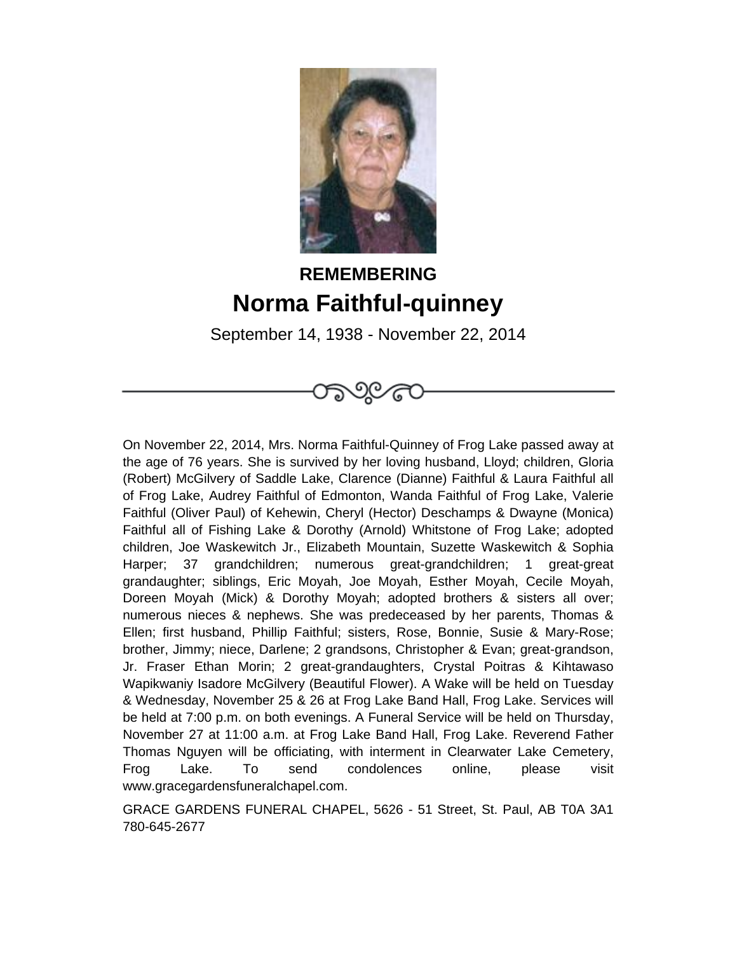

## **REMEMBERING Norma Faithful-quinney**

September 14, 1938 - November 22, 2014

೧೨೩೧೬

On November 22, 2014, Mrs. Norma Faithful-Quinney of Frog Lake passed away at the age of 76 years. She is survived by her loving husband, Lloyd; children, Gloria (Robert) McGilvery of Saddle Lake, Clarence (Dianne) Faithful & Laura Faithful all of Frog Lake, Audrey Faithful of Edmonton, Wanda Faithful of Frog Lake, Valerie Faithful (Oliver Paul) of Kehewin, Cheryl (Hector) Deschamps & Dwayne (Monica) Faithful all of Fishing Lake & Dorothy (Arnold) Whitstone of Frog Lake; adopted children, Joe Waskewitch Jr., Elizabeth Mountain, Suzette Waskewitch & Sophia Harper; 37 grandchildren; numerous great-grandchildren; 1 great-great grandaughter; siblings, Eric Moyah, Joe Moyah, Esther Moyah, Cecile Moyah, Doreen Moyah (Mick) & Dorothy Moyah; adopted brothers & sisters all over; numerous nieces & nephews. She was predeceased by her parents, Thomas & Ellen; first husband, Phillip Faithful; sisters, Rose, Bonnie, Susie & Mary-Rose; brother, Jimmy; niece, Darlene; 2 grandsons, Christopher & Evan; great-grandson, Jr. Fraser Ethan Morin; 2 great-grandaughters, Crystal Poitras & Kihtawaso Wapikwaniy Isadore McGilvery (Beautiful Flower). A Wake will be held on Tuesday & Wednesday, November 25 & 26 at Frog Lake Band Hall, Frog Lake. Services will be held at 7:00 p.m. on both evenings. A Funeral Service will be held on Thursday, November 27 at 11:00 a.m. at Frog Lake Band Hall, Frog Lake. Reverend Father Thomas Nguyen will be officiating, with interment in Clearwater Lake Cemetery, Frog Lake. To send condolences online, please visit www.gracegardensfuneralchapel.com.

GRACE GARDENS FUNERAL CHAPEL, 5626 - 51 Street, St. Paul, AB T0A 3A1 780-645-2677